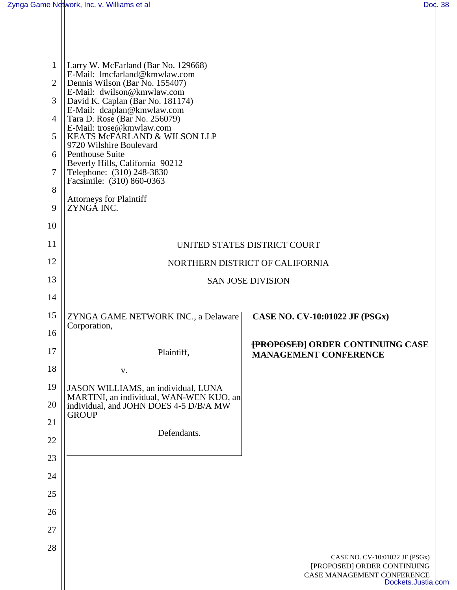$\mathbf{I}$ 

| 1<br>$\overline{2}$ | Larry W. McFarland (Bar No. 129668)<br>E-Mail: lmcfarland@kmwlaw.com<br>Dennis Wilson (Bar No. 155407)                                                                                    |                                                                                 |  |
|---------------------|-------------------------------------------------------------------------------------------------------------------------------------------------------------------------------------------|---------------------------------------------------------------------------------|--|
| 3                   | E-Mail: dwilson@kmwlaw.com<br>David K. Caplan (Bar No. 181174)<br>E-Mail: dcaplan@kmwlaw.com<br>Tara D. Rose (Bar No. 256079)<br>E-Mail: trose@kmwlaw.com<br>KEATS McFARLAND & WILSON LLP |                                                                                 |  |
| $\overline{4}$      |                                                                                                                                                                                           |                                                                                 |  |
| 5                   |                                                                                                                                                                                           |                                                                                 |  |
| 6                   | 9720 Wilshire Boulevard<br>Penthouse Suite                                                                                                                                                |                                                                                 |  |
| 7                   | Beverly Hills, California 90212<br>Telephone: (310) 248-3830<br>Facsimile: (310) 860-0363                                                                                                 |                                                                                 |  |
| 8                   |                                                                                                                                                                                           |                                                                                 |  |
| 9                   | <b>Attorneys for Plaintiff</b><br>ZYNGA INC.                                                                                                                                              |                                                                                 |  |
| 10                  |                                                                                                                                                                                           |                                                                                 |  |
| 11                  | UNITED STATES DISTRICT COURT                                                                                                                                                              |                                                                                 |  |
| 12                  | NORTHERN DISTRICT OF CALIFORNIA                                                                                                                                                           |                                                                                 |  |
| 13                  | <b>SAN JOSE DIVISION</b>                                                                                                                                                                  |                                                                                 |  |
| 14                  |                                                                                                                                                                                           |                                                                                 |  |
| 15                  | ZYNGA GAME NETWORK INC., a Delaware<br>Corporation,                                                                                                                                       | CASE NO. CV-10:01022 JF (PSGx)                                                  |  |
| 16                  |                                                                                                                                                                                           |                                                                                 |  |
| 17                  | Plaintiff,                                                                                                                                                                                | <b>{PROPOSED} ORDER CONTINUING CASE</b><br><b>MANAGEMENT CONFERENCE</b>         |  |
| 18                  | V.                                                                                                                                                                                        |                                                                                 |  |
| 19                  | JASON WILLIAMS, an individual, LUNA<br>MARTINI, an individual, WAN-WEN KUO, an                                                                                                            |                                                                                 |  |
| 20                  | individual, and JOHN DOES 4-5 D/B/A MW<br><b>GROUP</b>                                                                                                                                    |                                                                                 |  |
| 21                  | Defendants.                                                                                                                                                                               |                                                                                 |  |
| 22                  |                                                                                                                                                                                           |                                                                                 |  |
| 23                  |                                                                                                                                                                                           |                                                                                 |  |
| 24                  |                                                                                                                                                                                           |                                                                                 |  |
| 25                  |                                                                                                                                                                                           |                                                                                 |  |
| 26                  |                                                                                                                                                                                           |                                                                                 |  |
| 27                  |                                                                                                                                                                                           |                                                                                 |  |
| 28                  |                                                                                                                                                                                           | CASE NO. CV-10:01022 JF (PSGx)                                                  |  |
|                     |                                                                                                                                                                                           | [PROPOSED] ORDER CONTINUING<br>CASE MANAGEMENT CONFERENCE<br>Dockets.Justia.com |  |
|                     |                                                                                                                                                                                           |                                                                                 |  |